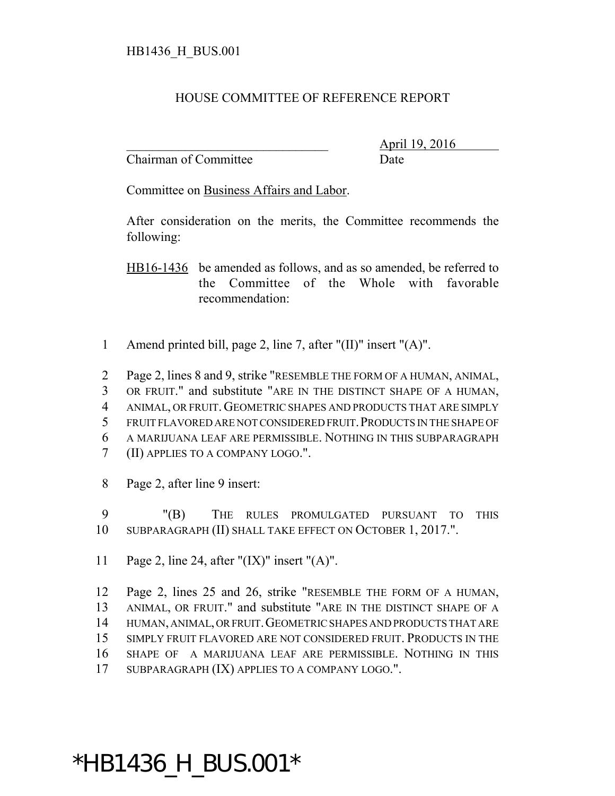## HOUSE COMMITTEE OF REFERENCE REPORT

Chairman of Committee Date

\_\_\_\_\_\_\_\_\_\_\_\_\_\_\_\_\_\_\_\_\_\_\_\_\_\_\_\_\_\_\_ April 19, 2016

Committee on Business Affairs and Labor.

After consideration on the merits, the Committee recommends the following:

HB16-1436 be amended as follows, and as so amended, be referred to the Committee of the Whole with favorable recommendation:

1 Amend printed bill, page 2, line 7, after "(II)" insert "(A)".

 Page 2, lines 8 and 9, strike "RESEMBLE THE FORM OF A HUMAN, ANIMAL, OR FRUIT." and substitute "ARE IN THE DISTINCT SHAPE OF A HUMAN, ANIMAL, OR FRUIT.GEOMETRIC SHAPES AND PRODUCTS THAT ARE SIMPLY FRUIT FLAVORED ARE NOT CONSIDERED FRUIT.PRODUCTS IN THE SHAPE OF A MARIJUANA LEAF ARE PERMISSIBLE. NOTHING IN THIS SUBPARAGRAPH (II) APPLIES TO A COMPANY LOGO.".

8 Page 2, after line 9 insert:

9 "(B) THE RULES PROMULGATED PURSUANT TO THIS 10 SUBPARAGRAPH (II) SHALL TAKE EFFECT ON OCTOBER 1, 2017.".

11 Page 2, line 24, after " $(IX)$ " insert " $(A)$ ".

 Page 2, lines 25 and 26, strike "RESEMBLE THE FORM OF A HUMAN, ANIMAL, OR FRUIT." and substitute "ARE IN THE DISTINCT SHAPE OF A HUMAN, ANIMAL, OR FRUIT.GEOMETRIC SHAPES AND PRODUCTS THAT ARE SIMPLY FRUIT FLAVORED ARE NOT CONSIDERED FRUIT. PRODUCTS IN THE SHAPE OF A MARIJUANA LEAF ARE PERMISSIBLE. NOTHING IN THIS SUBPARAGRAPH (IX) APPLIES TO A COMPANY LOGO.".

## \*HB1436\_H\_BUS.001\*